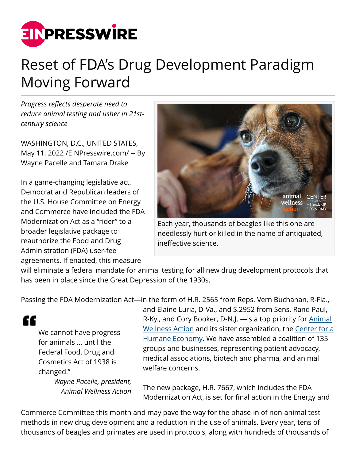

## Reset of FDA's Drug Development Paradigm Moving Forward

*Progress reflects desperate need to reduce animal testing and usher in 21stcentury science*

WASHINGTON, D.C., UNITED STATES, May 11, 2022 [/EINPresswire.com](http://www.einpresswire.com)/ -- By Wayne Pacelle and Tamara Drake

In a game-changing legislative act, Democrat and Republican leaders of the U.S. House Committee on Energy and Commerce have included the FDA Modernization Act as a "rider" to a broader legislative package to reauthorize the Food and Drug Administration (FDA) user-fee agreements. If enacted, this measure



Each year, thousands of beagles like this one are needlessly hurt or killed in the name of antiquated, ineffective science.

will eliminate a federal mandate for animal testing for all new drug development protocols that has been in place since the Great Depression of the 1930s.

Passing the FDA Modernization Act—in the form of H.R. 2565 from Reps. Vern Buchanan, R-Fla.,

We cannot have progress for animals ... until the Federal Food, Drug and Cosmetics Act of 1938 is changed."

££

*Wayne Pacelle, president, Animal Wellness Action*

and Elaine Luria, D-Va., and S.2952 from Sens. Rand Paul, R-Ky., and Cory Booker, D-N.J. —is a top priority for [Animal](http://www.animalwellnessaction.org) [Wellness Action](http://www.animalwellnessaction.org) and its sister organization, the [Center for a](http://www.centerforahumaneeconomy.org) [Humane Economy.](http://www.centerforahumaneeconomy.org) We have assembled a coalition of 135 groups and businesses, representing patient advocacy, medical associations, biotech and pharma, and animal welfare concerns.

The new package, H.R. 7667, which includes the FDA Modernization Act, is set for final action in the Energy and

Commerce Committee this month and may pave the way for the phase-in of non-animal test methods in new drug development and a reduction in the use of animals. Every year, tens of thousands of beagles and primates are used in protocols, along with hundreds of thousands of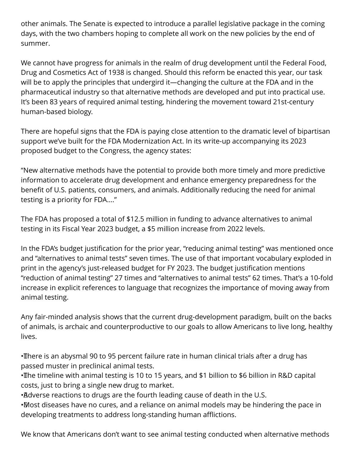other animals. The Senate is expected to introduce a parallel legislative package in the coming days, with the two chambers hoping to complete all work on the new policies by the end of summer.

We cannot have progress for animals in the realm of drug development until the Federal Food, Drug and Cosmetics Act of 1938 is changed. Should this reform be enacted this year, our task will be to apply the principles that undergird it—changing the culture at the FDA and in the pharmaceutical industry so that alternative methods are developed and put into practical use. It's been 83 years of required animal testing, hindering the movement toward 21st-century human-based biology.

There are hopeful signs that the FDA is paying close attention to the dramatic level of bipartisan support we've built for the FDA Modernization Act. In its write-up accompanying its 2023 proposed budget to the Congress, the agency states:

"New alternative methods have the potential to provide both more timely and more predictive information to accelerate drug development and enhance emergency preparedness for the benefit of U.S. patients, consumers, and animals. Additionally reducing the need for animal testing is a priority for FDA…."

The FDA has proposed a total of \$12.5 million in funding to advance alternatives to animal testing in its Fiscal Year 2023 budget, a \$5 million increase from 2022 levels.

In the FDA's budget justification for the prior year, "reducing animal testing" was mentioned once and "alternatives to animal tests" seven times. The use of that important vocabulary exploded in print in the agency's just-released budget for FY 2023. The budget justification mentions "reduction of animal testing" 27 times and "alternatives to animal tests" 62 times. That's a 10-fold increase in explicit references to language that recognizes the importance of moving away from animal testing.

Any fair-minded analysis shows that the current drug-development paradigm, built on the backs of animals, is archaic and counterproductive to our goals to allow Americans to live long, healthy lives.

• There is an abysmal 90 to 95 percent failure rate in human clinical trials after a drug has passed muster in preclinical animal tests.

· The timeline with animal testing is 10 to 15 years, and \$1 billion to \$6 billion in R&D capital costs, just to bring a single new drug to market.

• Adverse reactions to drugs are the fourth leading cause of death in the U.S.

• Most diseases have no cures, and a reliance on animal models may be hindering the pace in developing treatments to address long-standing human afflictions.

We know that Americans don't want to see animal testing conducted when alternative methods